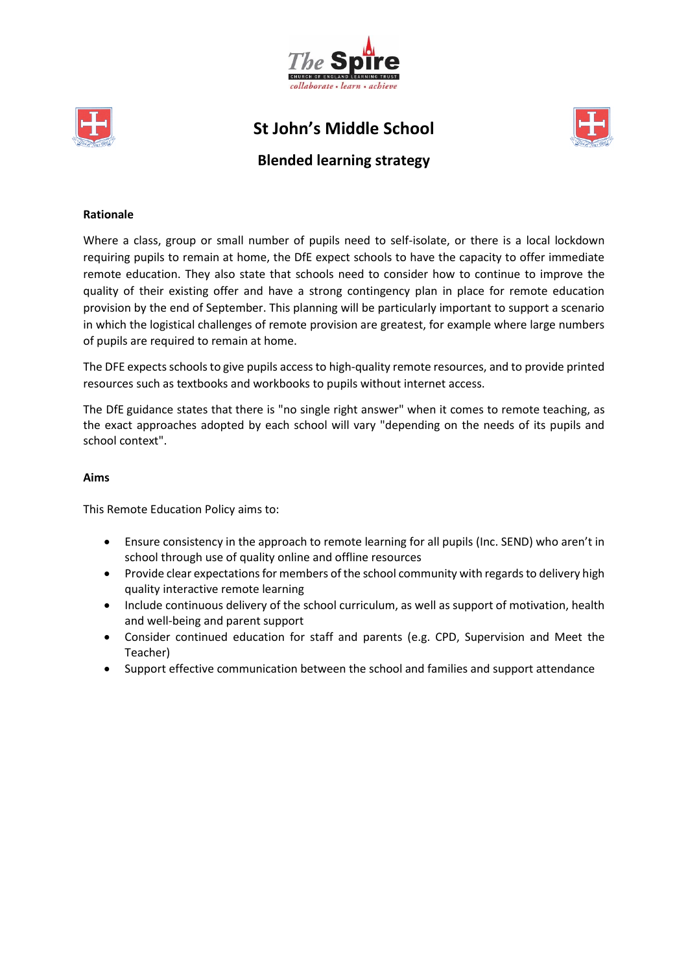



**St John's Middle School**



# **Blended learning strategy**

### **Rationale**

Where a class, group or small number of pupils need to self-isolate, or there is a local lockdown requiring pupils to remain at home, the DfE expect schools to have the capacity to offer immediate remote education. They also state that schools need to consider how to continue to improve the quality of their existing offer and have a strong contingency plan in place for remote education provision by the end of September. This planning will be particularly important to support a scenario in which the logistical challenges of remote provision are greatest, for example where large numbers of pupils are required to remain at home.

The DFE expects schools to give pupils access to high-quality remote resources, and to provide printed resources such as textbooks and workbooks to pupils without internet access.

The DfE guidance states that there is "no single right answer" when it comes to remote teaching, as the exact approaches adopted by each school will vary "depending on the needs of its pupils and school context".

#### **Aims**

This Remote Education Policy aims to:

- Ensure consistency in the approach to remote learning for all pupils (Inc. SEND) who aren't in school through use of quality online and offline resources
- Provide clear expectations for members of the school community with regards to delivery high quality interactive remote learning
- Include continuous delivery of the school curriculum, as well as support of motivation, health and well-being and parent support
- Consider continued education for staff and parents (e.g. CPD, Supervision and Meet the Teacher)
- Support effective communication between the school and families and support attendance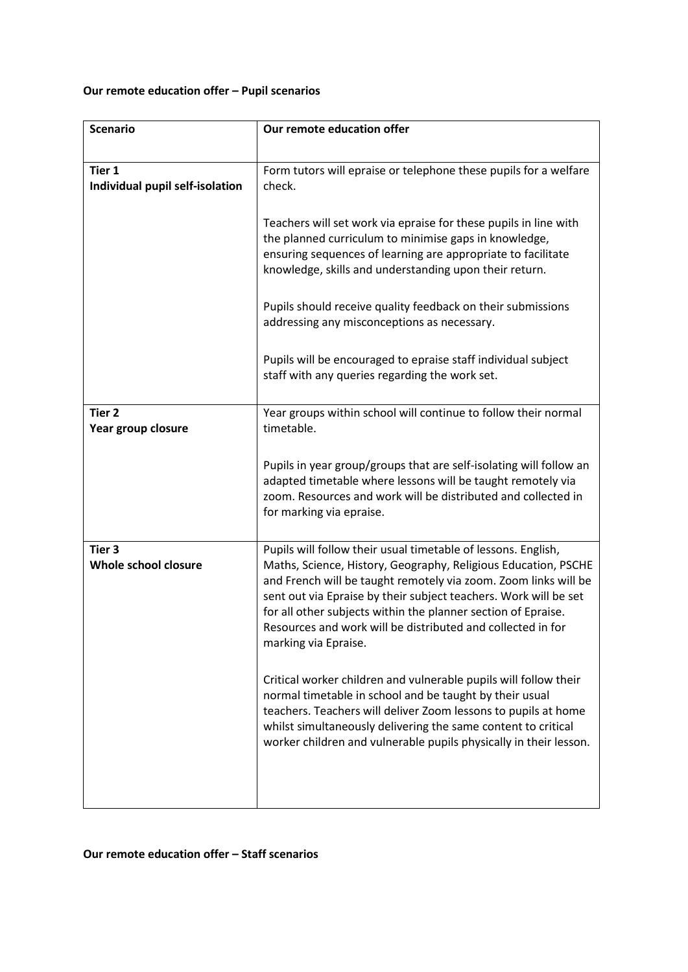## **Our remote education offer – Pupil scenarios**

| <b>Scenario</b>                           | Our remote education offer                                                                                                                                                                                                                                                                                                                                                                                                     |
|-------------------------------------------|--------------------------------------------------------------------------------------------------------------------------------------------------------------------------------------------------------------------------------------------------------------------------------------------------------------------------------------------------------------------------------------------------------------------------------|
|                                           |                                                                                                                                                                                                                                                                                                                                                                                                                                |
| Tier 1<br>Individual pupil self-isolation | Form tutors will epraise or telephone these pupils for a welfare<br>check.                                                                                                                                                                                                                                                                                                                                                     |
|                                           | Teachers will set work via epraise for these pupils in line with<br>the planned curriculum to minimise gaps in knowledge,<br>ensuring sequences of learning are appropriate to facilitate<br>knowledge, skills and understanding upon their return.                                                                                                                                                                            |
|                                           | Pupils should receive quality feedback on their submissions<br>addressing any misconceptions as necessary.                                                                                                                                                                                                                                                                                                                     |
|                                           | Pupils will be encouraged to epraise staff individual subject<br>staff with any queries regarding the work set.                                                                                                                                                                                                                                                                                                                |
| Tier <sub>2</sub><br>Year group closure   | Year groups within school will continue to follow their normal<br>timetable.                                                                                                                                                                                                                                                                                                                                                   |
|                                           | Pupils in year group/groups that are self-isolating will follow an<br>adapted timetable where lessons will be taught remotely via<br>zoom. Resources and work will be distributed and collected in<br>for marking via epraise.                                                                                                                                                                                                 |
| Tier <sub>3</sub><br>Whole school closure | Pupils will follow their usual timetable of lessons. English,<br>Maths, Science, History, Geography, Religious Education, PSCHE<br>and French will be taught remotely via zoom. Zoom links will be<br>sent out via Epraise by their subject teachers. Work will be set<br>for all other subjects within the planner section of Epraise.<br>Resources and work will be distributed and collected in for<br>marking via Epraise. |
|                                           | Critical worker children and vulnerable pupils will follow their<br>normal timetable in school and be taught by their usual<br>teachers. Teachers will deliver Zoom lessons to pupils at home<br>whilst simultaneously delivering the same content to critical<br>worker children and vulnerable pupils physically in their lesson.                                                                                            |
|                                           |                                                                                                                                                                                                                                                                                                                                                                                                                                |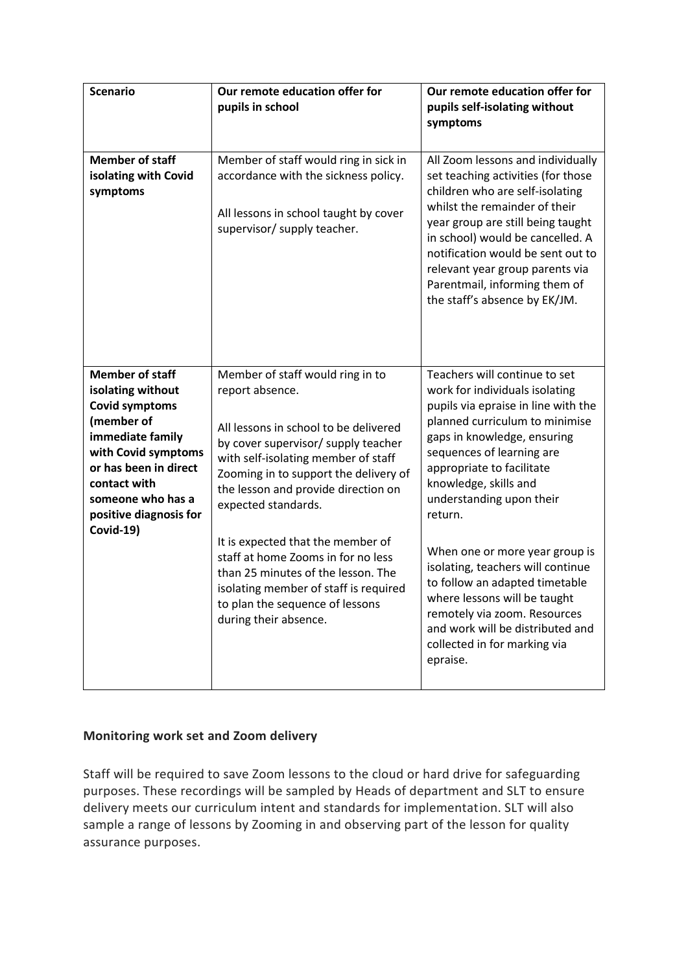| <b>Scenario</b>                                                                                                                                                                                                                    | Our remote education offer for<br>pupils in school                                                                                                                                                                                                                                                                                                                                                                                                                                                      | Our remote education offer for<br>pupils self-isolating without<br>symptoms                                                                                                                                                                                                                                                                                                                                                                                                |
|------------------------------------------------------------------------------------------------------------------------------------------------------------------------------------------------------------------------------------|---------------------------------------------------------------------------------------------------------------------------------------------------------------------------------------------------------------------------------------------------------------------------------------------------------------------------------------------------------------------------------------------------------------------------------------------------------------------------------------------------------|----------------------------------------------------------------------------------------------------------------------------------------------------------------------------------------------------------------------------------------------------------------------------------------------------------------------------------------------------------------------------------------------------------------------------------------------------------------------------|
| <b>Member of staff</b><br>isolating with Covid<br>symptoms                                                                                                                                                                         | Member of staff would ring in sick in<br>accordance with the sickness policy.<br>All lessons in school taught by cover<br>supervisor/ supply teacher.                                                                                                                                                                                                                                                                                                                                                   | All Zoom lessons and individually<br>set teaching activities (for those<br>children who are self-isolating<br>whilst the remainder of their<br>year group are still being taught<br>in school) would be cancelled. A<br>notification would be sent out to<br>relevant year group parents via<br>Parentmail, informing them of<br>the staff's absence by EK/JM.                                                                                                             |
| <b>Member of staff</b><br>isolating without<br><b>Covid symptoms</b><br>(member of<br>immediate family<br>with Covid symptoms<br>or has been in direct<br>contact with<br>someone who has a<br>positive diagnosis for<br>Covid-19) | Member of staff would ring in to<br>report absence.<br>All lessons in school to be delivered<br>by cover supervisor/ supply teacher<br>with self-isolating member of staff<br>Zooming in to support the delivery of<br>the lesson and provide direction on<br>expected standards.<br>It is expected that the member of<br>staff at home Zooms in for no less<br>than 25 minutes of the lesson. The<br>isolating member of staff is required<br>to plan the sequence of lessons<br>during their absence. | Teachers will continue to set<br>work for individuals isolating<br>pupils via epraise in line with the<br>planned curriculum to minimise<br>gaps in knowledge, ensuring<br>sequences of learning are<br>appropriate to facilitate<br>knowledge, skills and<br>understanding upon their<br>return.<br>When one or more year group is<br>isolating, teachers will continue<br>to follow an adapted timetable<br>where lessons will be taught<br>remotely via zoom. Resources |
|                                                                                                                                                                                                                                    |                                                                                                                                                                                                                                                                                                                                                                                                                                                                                                         | and work will be distributed and<br>collected in for marking via<br>epraise.                                                                                                                                                                                                                                                                                                                                                                                               |

## **Monitoring work set and Zoom delivery**

Staff will be required to save Zoom lessons to the cloud or hard drive for safeguarding purposes. These recordings will be sampled by Heads of department and SLT to ensure delivery meets our curriculum intent and standards for implementation. SLT will also sample a range of lessons by Zooming in and observing part of the lesson for quality assurance purposes.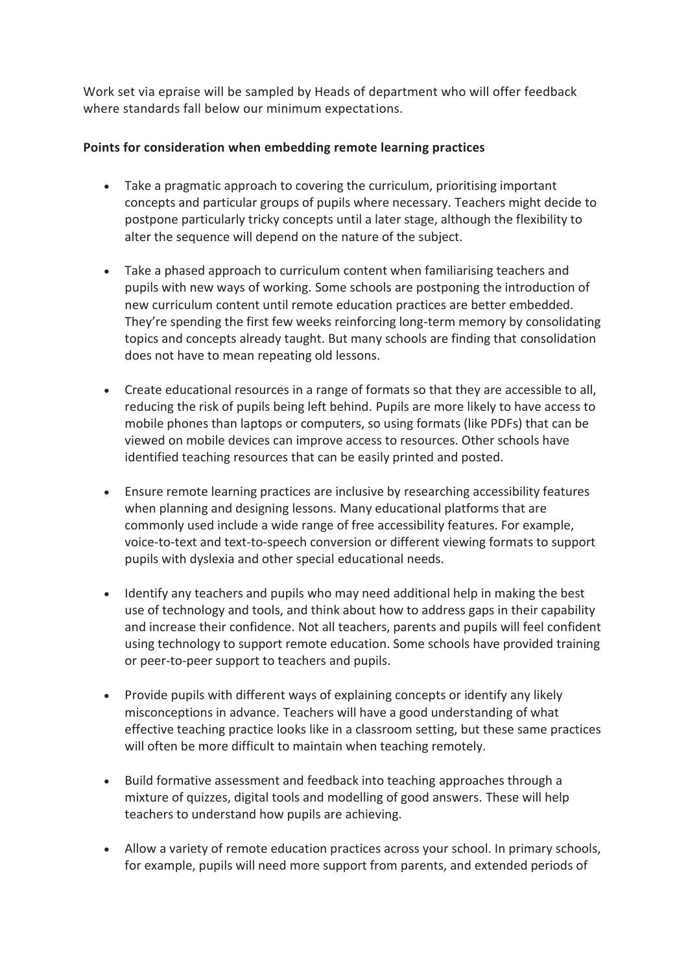Work set via epraise will be sampled by Heads of department who will offer feedback where standards fall below our minimum expectations.

## **Points for consideration when embedding remote learning practices**

- Take a pragmatic approach to covering the curriculum, prioritising important concepts and particular groups of pupils where necessary. Teachers might decide to postpone particularly tricky concepts until a later stage, although the flexibility to alter the sequence will depend on the nature of the subject.
- Take a phased approach to curriculum content when familiarising teachers and pupils with new ways of working. Some schools are postponing the introduction of new curriculum content until remote education practices are better embedded. They're spending the first few weeks reinforcing long-term memory by consolidating topics and concepts already taught. But many schools are finding that consolidation does not have to mean repeating old lessons.
- Create educational resources in a range of formats so that they are accessible to all, reducing the risk of pupils being left behind. Pupils are more likely to have access to mobile phones than laptops or computers, so using formats (like PDFs) that can be viewed on mobile devices can improve access to resources. Other schools have identified teaching resources that can be easily printed and posted.
- Ensure remote learning practices are inclusive by researching accessibility features when planning and designing lessons. Many educational platforms that are commonly used include a wide range of free accessibility features. For example, voice-to-text and text-to-speech conversion or different viewing formats to support pupils with dyslexia and other special educational needs.
- Identify any teachers and pupils who may need additional help in making the best use of technology and tools, and think about how to address gaps in their capability and increase their confidence. Not all teachers, parents and pupils will feel confident using technology to support remote education. Some schools have provided training or peer-to-peer support to teachers and pupils.
- Provide pupils with different ways of explaining concepts or identify any likely misconceptions in advance. Teachers will have a good understanding of what effective teaching practice looks like in a classroom setting, but these same practices will often be more difficult to maintain when teaching remotely.
- Build formative assessment and feedback into teaching approaches through a mixture of quizzes, digital tools and modelling of good answers. These will help teachers to understand how pupils are achieving.
- Allow a variety of remote education practices across your school. In primary schools, for example, pupils will need more support from parents, and extended periods of